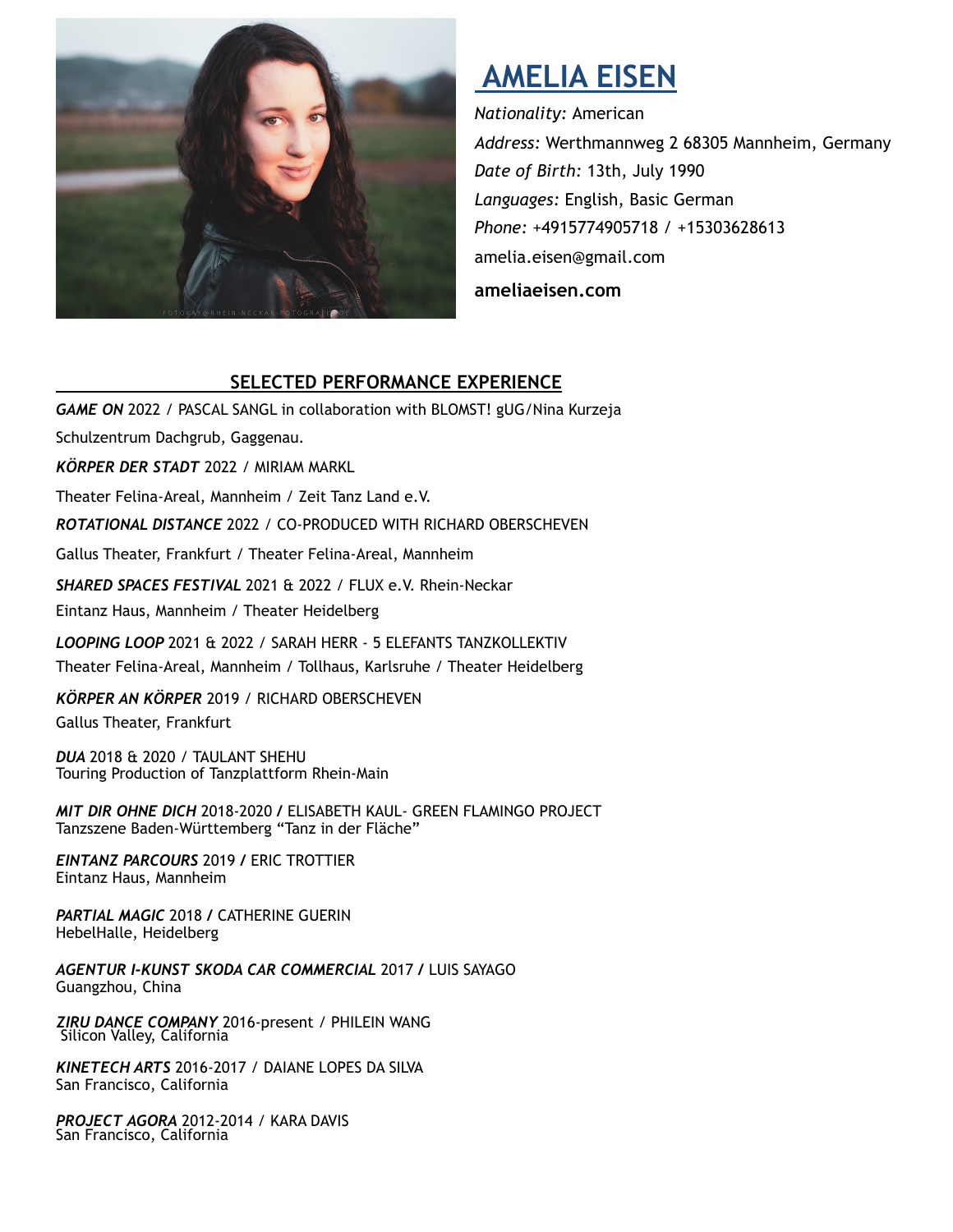

# **AMELIA EISEN**

*Nationality:* American *Address:* Werthmannweg 2 68305 Mannheim, Germany *Date of Birth:* 13th, July 1990 *Languages:* English, Basic German *Phone: +*4915774905718 / +15303628613 amelia.eisen@gmail.com

**[ameliaeisen.com](http://ameliaeisen.com)**

## **SELECTED PERFORMANCE EXPERIENCE**

**GAME ON 2022 / PASCAL SANGL in collaboration with BLOMST! gUG/Nina Kurzeja** Schulzentrum Dachgrub, Gaggenau. *KÖRPER DER STADT* 2022 / MIRIAM MARKL Theater Felina-Areal, Mannheim / Zeit Tanz Land e.V. *ROTATIONAL DISTANCE* 2022 / CO-PRODUCED WITH RICHARD OBERSCHEVEN Gallus Theater, Frankfurt / Theater Felina-Areal, Mannheim *SHARED SPACES FESTIVAL* 2021 & 2022 / FLUX e.V. Rhein-Neckar Eintanz Haus, Mannheim / Theater Heidelberg *LOOPING LOOP* 2021 & 2022 / SARAH HERR - 5 ELEFANTS TANZKOLLEKTIV Theater Felina-Areal, Mannheim / Tollhaus, Karlsruhe / Theater Heidelberg

*KÖRPER AN KÖRPER* 2019 / RICHARD OBERSCHEVEN Gallus Theater, Frankfurt

*DUA* 2018 & 2020 / TAULANT SHEHU Touring Production of Tanzplattform Rhein-Main

*MIT DIR OHNE DICH* 2018-2020 */* ELISABETH KAUL- GREEN FLAMINGO PROJECT Tanzszene Baden-Württemberg "Tanz in der Fläche"

*EINTANZ PARCOURS* 2019 */* ERIC TROTTIER Eintanz Haus, Mannheim

*PARTIAL MAGIC* 2018 */* CATHERINE GUERIN HebelHalle, Heidelberg

*AGENTUR I-KUNST SKODA CAR COMMERCIAL* 2017 */* LUIS SAYAGO Guangzhou, China

*ZIRU DANCE COMPANY* 2016-present */* PHILEIN WANG Silicon Valley, California

*KINETECH ARTS* 2016-2017 / DAIANE LOPES DA SILVA San Francisco, California

*PROJECT AGORA* 2012-2014 / KARA DAVIS San Francisco, California